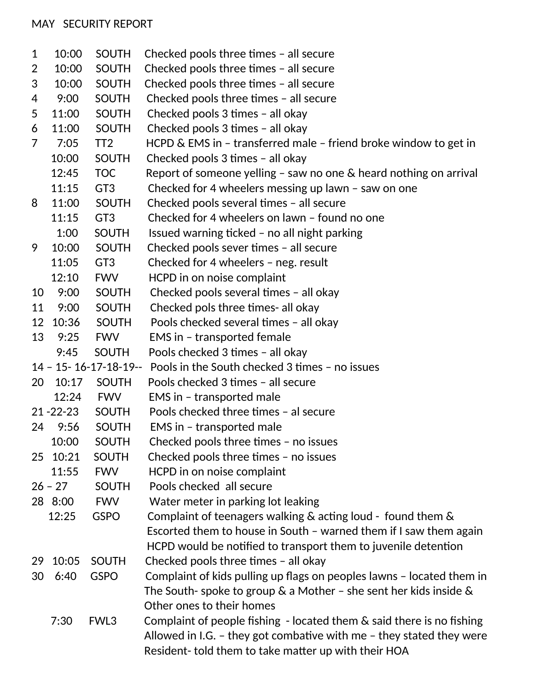## MAY SECURITY REPORT

|                     |                | <b>SOUTH</b>                    |                                                                                                      |
|---------------------|----------------|---------------------------------|------------------------------------------------------------------------------------------------------|
| 1<br>$\overline{2}$ | 10:00<br>10:00 | <b>SOUTH</b>                    | Checked pools three times - all secure<br>Checked pools three times - all secure                     |
| 3                   | 10:00          | <b>SOUTH</b>                    | Checked pools three times - all secure                                                               |
| 4                   | 9:00           | <b>SOUTH</b>                    | Checked pools three times - all secure                                                               |
| 5                   | 11:00          | <b>SOUTH</b>                    | Checked pools 3 times - all okay                                                                     |
| 6                   | 11:00          | <b>SOUTH</b>                    |                                                                                                      |
| $\overline{7}$      | 7:05           | TT <sub>2</sub>                 | Checked pools 3 times - all okay<br>HCPD & EMS in - transferred male - friend broke window to get in |
|                     | 10:00          | <b>SOUTH</b>                    | Checked pools 3 times - all okay                                                                     |
|                     | 12:45          | <b>TOC</b>                      | Report of someone yelling $-$ saw no one $\&$ heard nothing on arrival                               |
|                     | 11:15          | GT <sub>3</sub>                 | Checked for 4 wheelers messing up lawn $-$ saw on one                                                |
| 8                   | 11:00          | <b>SOUTH</b>                    |                                                                                                      |
|                     | 11:15          | GT <sub>3</sub>                 | Checked pools several times - all secure<br>Checked for 4 wheelers on lawn - found no one            |
|                     | 1:00           | <b>SOUTH</b>                    |                                                                                                      |
| 9                   |                |                                 | Issued warning ticked - no all night parking                                                         |
|                     | 10:00          | <b>SOUTH</b>                    | Checked pools sever times - all secure                                                               |
|                     | 11:05          | GT <sub>3</sub><br><b>FWV</b>   | Checked for 4 wheelers - neg. result                                                                 |
|                     | 12:10          |                                 | HCPD in on noise complaint                                                                           |
| 10                  | 9:00           | <b>SOUTH</b>                    | Checked pools several times - all okay                                                               |
| 11                  | 9:00           | <b>SOUTH</b>                    | Checked pols three times- all okay                                                                   |
| 12                  | 10:36          | <b>SOUTH</b>                    | Pools checked several times - all okay                                                               |
| 13                  | 9:25           | <b>FWV</b>                      | <b>EMS in - transported female</b>                                                                   |
|                     | 9:45           | <b>SOUTH</b>                    | Pools checked 3 times - all okay                                                                     |
|                     |                | $14 - 15 - 16 - 17 - 18 - 19 -$ | Pools in the South checked 3 times - no issues                                                       |
| 20                  | 10:17          | <b>SOUTH</b>                    | Pools checked 3 times - all secure                                                                   |
|                     | 12:24          | <b>FWV</b>                      | EMS in - transported male                                                                            |
|                     | $21 - 22 - 23$ | <b>SOUTH</b>                    | Pools checked three times - al secure                                                                |
| 24                  | 9:56           | <b>SOUTH</b>                    | EMS in - transported male                                                                            |
|                     | 10:00          | <b>SOUTH</b>                    | Checked pools three times - no issues                                                                |
| 25                  | 10:21          | <b>SOUTH</b>                    | Checked pools three times - no issues                                                                |
|                     | 11:55          | <b>FWV</b>                      | HCPD in on noise complaint                                                                           |
|                     | $26 - 27$      | <b>SOUTH</b>                    | Pools checked all secure                                                                             |
|                     | 28 8:00        | <b>FWV</b>                      | Water meter in parking lot leaking                                                                   |
|                     | 12:25          | <b>GSPO</b>                     | Complaint of teenagers walking $\&$ acting loud - found them $\&$                                    |
|                     |                |                                 | Escorted them to house in South - warned them if I saw them again                                    |
|                     |                |                                 | HCPD would be notified to transport them to juvenile detention                                       |
| 29                  | 10:05          | <b>SOUTH</b>                    | Checked pools three times - all okay                                                                 |
| 30                  | 6:40           | <b>GSPO</b>                     | Complaint of kids pulling up flags on peoples lawns - located them in                                |
|                     |                |                                 | The South-spoke to group $\&$ a Mother – she sent her kids inside $\&$                               |
|                     |                |                                 | Other ones to their homes                                                                            |
|                     | 7:30           | FWL3                            | Complaint of people fishing $-$ located them $\&$ said there is no fishing                           |
|                     |                |                                 | Allowed in I.G. - they got combative with me - they stated they were                                 |
|                     |                |                                 | Resident-told them to take matter up with their HOA                                                  |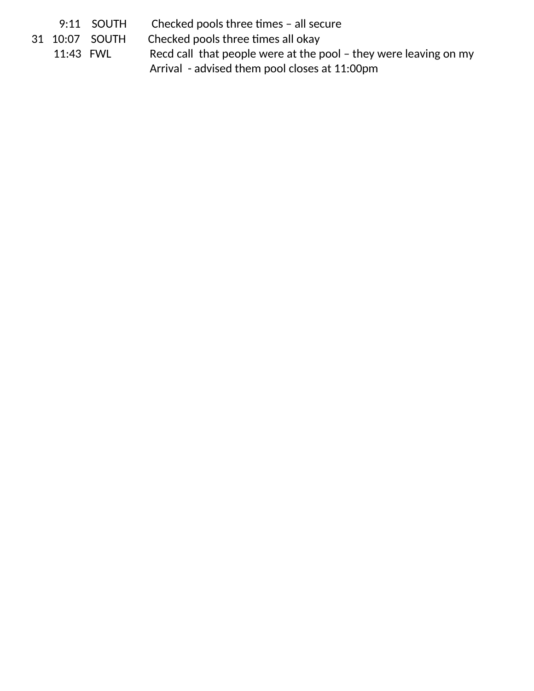|           | $9:11$ SOUTH   | Checked pools three times - all secure                           |
|-----------|----------------|------------------------------------------------------------------|
|           | 31 10:07 SOUTH | Checked pools three times all okay                               |
| 11:43 FWL |                | Recd call that people were at the pool - they were leaving on my |
|           |                | Arrival - advised them pool closes at 11:00pm                    |